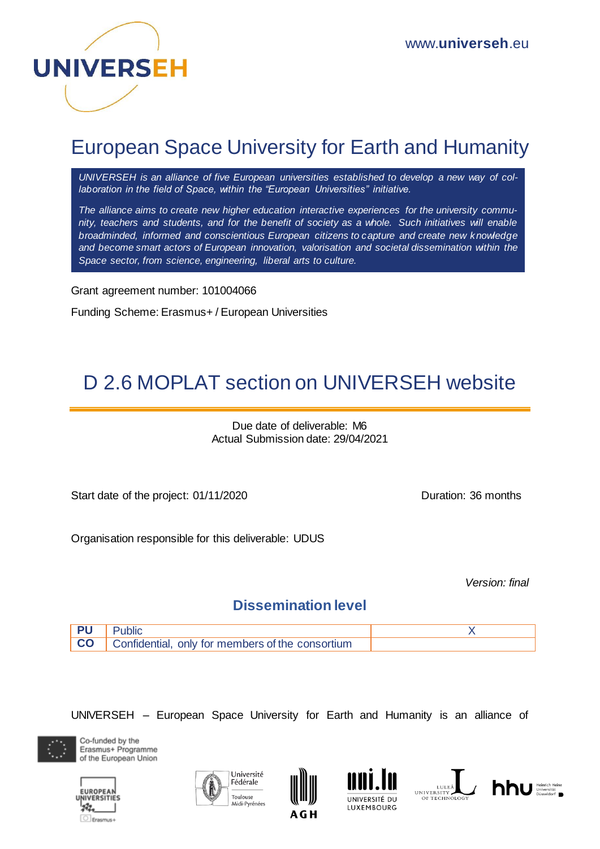

## European Space University for Earth and Humanity

*UNIVERSEH is an alliance of five European universities established to develop a new way of collaboration in the field of Space, within the "European Universities" initiative.*

*The alliance aims to create new higher education interactive experiences for the university community, teachers and students, and for the benefit of society as a whole. Such initiatives will enable broadminded, informed and conscientious European citizens to capture and create new knowledge and become smart actors of European innovation, valorisation and societal dissemination within the Space sector, from science, engineering, liberal arts to culture.*

Grant agreement number: 101004066

Funding Scheme: Erasmus+ / European Universities

# D 2.6 MOPLAT section on UNIVERSEH website

Due date of deliverable: M6 Actual Submission date: 29/04/2021

Start date of the project: 01/11/2020 Duration: 36 months

Organisation responsible for this deliverable: UDUS

*Version: final*

## **Dissemination level**



UNIVERSEH – European Space University for Earth and Humanity is an alliance of











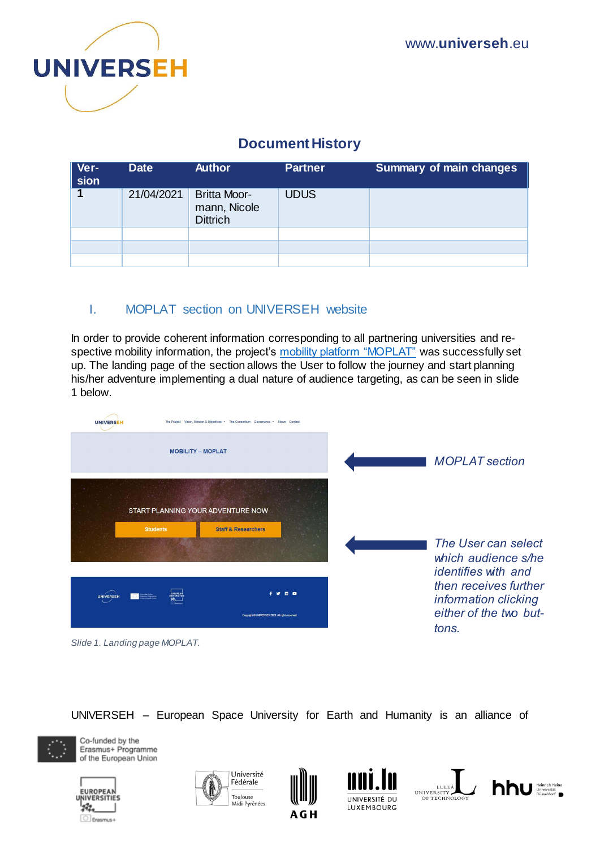

## **Document History**

| Ver-<br>sion | <b>Date</b> | <b>Author</b>                                          | <b>Partner</b> | <b>Summary of main changes</b> |
|--------------|-------------|--------------------------------------------------------|----------------|--------------------------------|
|              | 21/04/2021  | <b>Britta Moor-</b><br>mann, Nicole<br><b>Dittrich</b> | <b>UDUS</b>    |                                |
|              |             |                                                        |                |                                |
|              |             |                                                        |                |                                |
|              |             |                                                        |                |                                |

## I. MOPLAT section on UNIVERSEH website

In order to provide coherent information corresponding to all partnering universities and respective mobility information, the project's [mobility platform "MOPLAT"](https://universeh.eu/mobility-moplat/) was successfully set up. The landing page of the section allows the User to follow the journey and start planning his/her adventure implementing a dual nature of audience targeting, as can be seen in slide 1 below.

| <b>UNIVERSE</b>                   |                              | The Project Vision Mission & Objectives . The Consortium Governance . News Contact |  |                                                                                  |
|-----------------------------------|------------------------------|------------------------------------------------------------------------------------|--|----------------------------------------------------------------------------------|
|                                   | <b>MOBILITY - MOPLAT</b>     |                                                                                    |  | <b>MOPLAT</b> section                                                            |
| START PLANNING YOUR ADVENTURE NOW |                              |                                                                                    |  |                                                                                  |
|                                   | <b>Students</b>              | <b>Staff &amp; Researchers</b>                                                     |  | The User can select<br>which audience s/he<br><i>identifies with and</i>         |
| <b>UNIVERSEH</b>                  | stedetyche<br>aemar Programm | Copyright @ UNIVERSEH 2020. All rights reserved                                    |  | then receives further<br>information clicking<br>either of the two but-<br>tons. |
| Slide 1. Landing page MOPLAT.     |                              |                                                                                    |  |                                                                                  |

UNIVERSEH – European Space University for Earth and Humanity is an alliance of













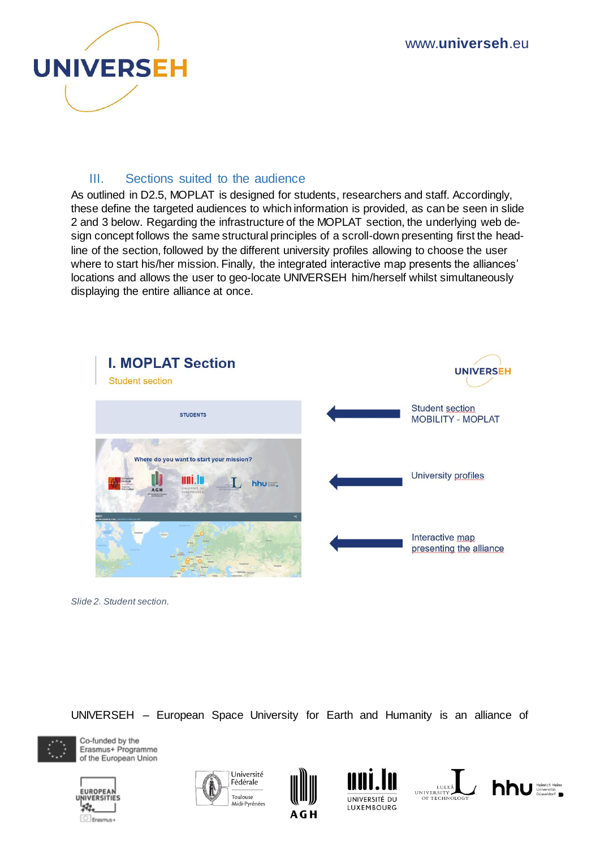

#### III. Sections suited to the audience

As outlined in D2.5, MOPLAT is designed for students, researchers and staff. Accordingly, these define the targeted audiences to which information is provided, as can be seen in slide 2 and 3 below. Regarding the infrastructure of the MOPLAT section, the underlying web design concept follows the same structural principles of a scroll-down presenting first the headline of the section, followed by the different university profiles allowing to choose the user where to start his/her mission. Finally, the integrated interactive map presents the alliances' locations and allows the user to geo-locate UNIVERSEH him/herself whilst simultaneously displaying the entire alliance at once.



*Slide 2. Student section.*

UNIVERSEH – European Space University for Earth and Humanity is an alliance of













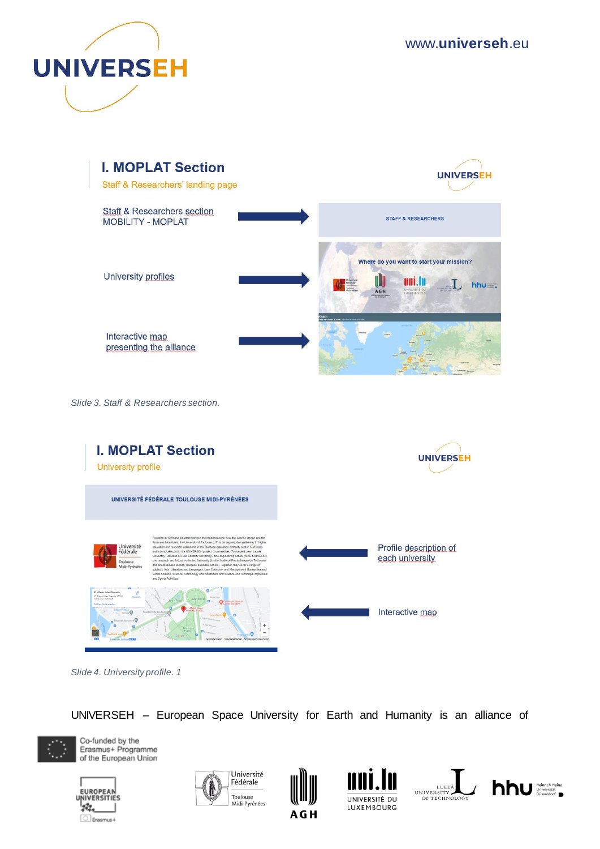



*Slide 3. Staff & Researchers section.* 



*Slide 4. University profile. 1*

UNIVERSEH – European Space University for Earth and Humanity is an alliance of